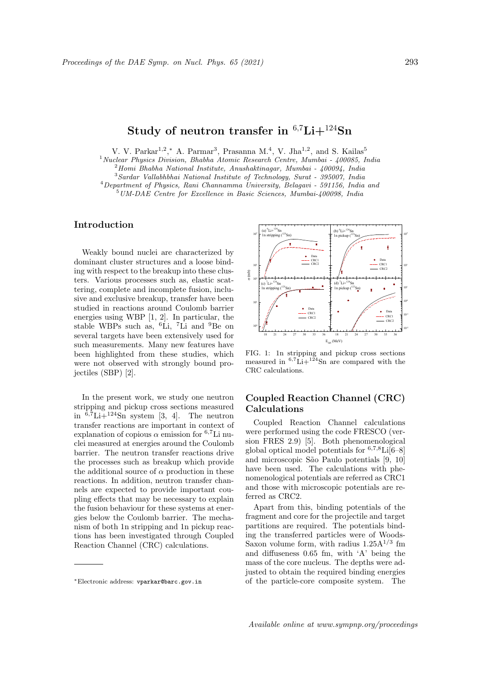# Study of neutron transfer in  $6.7$ Li $+$ <sup>124</sup>Sn

V. V. Parkar<sup>1,2</sup>,\* A. Parmar<sup>3</sup>, Prasanna M.<sup>4</sup>, V. Jha<sup>1,2</sup>, and S. Kailas<sup>5</sup>

 $1$ Nuclear Physics Division, Bhabha Atomic Research Centre, Mumbai -  $400085$ , India

 $^{2}$ Homi Bhabha National Institute, Anushaktinagar, Mumbai - 400094, India

<sup>3</sup>Sardar Vallabhbhai National Institute of Technology, Surat - 395007, India

<sup>4</sup>Department of Physics, Rani Channamma University, Belagavi - 591156, India and <sup>5</sup>UM-DAE Centre for Excellence in Basic Sciences, Mumbai-400098, India

### Introduction

Weakly bound nuclei are characterized by dominant cluster structures and a loose binding with respect to the breakup into these clusters. Various processes such as, elastic scattering, complete and incomplete fusion, inclusive and exclusive breakup, transfer have been studied in reactions around Coulomb barrier energies using WBP [1, 2]. In particular, the stable WBPs such as, <sup>6</sup>Li, <sup>7</sup>Li and <sup>9</sup>Be on several targets have been extensively used for such measurements. Many new features have been highlighted from these studies, which were not observed with strongly bound projectiles (SBP) [2].

In the present work, we study one neutron stripping and pickup cross sections measured in  $6.7$ Li $+124$ Sn system [3, 4]. The neutron transfer reactions are important in context of explanation of copious  $\alpha$  emission for <sup>6,7</sup>Li nuclei measured at energies around the Coulomb barrier. The neutron transfer reactions drive the processes such as breakup which provide the additional source of  $\alpha$  production in these reactions. In addition, neutron transfer channels are expected to provide important coupling effects that may be necessary to explain the fusion behaviour for these systems at energies below the Coulomb barrier. The mechanism of both 1n stripping and 1n pickup reactions has been investigated through Coupled Reaction Channel (CRC) calculations.



FIG. 1: 1n stripping and pickup cross sections measured in  ${}^{6,7}$ Li+ ${}^{124}$ Sn are compared with the CRC calculations.

## Coupled Reaction Channel (CRC) Calculations

Coupled Reaction Channel calculations were performed using the code FRESCO (version FRES 2.9) [5]. Both phenomenological global optical model potentials for  $6,7,8$ Li $[6-8]$ and microscopic S˜ao Paulo potentials [9, 10] have been used. The calculations with phenomenological potentials are referred as CRC1 and those with microscopic potentials are referred as CRC2.

Apart from this, binding potentials of the fragment and core for the projectile and target partitions are required. The potentials binding the transferred particles were of Woods-Saxon volume form, with radius  $1.25A^{1/3}$  fm and diffuseness 0.65 fm, with 'A' being the mass of the core nucleus. The depths were adjusted to obtain the required binding energies of the particle-core composite system. The

<sup>∗</sup>Electronic address: vparkar@barc.gov.in